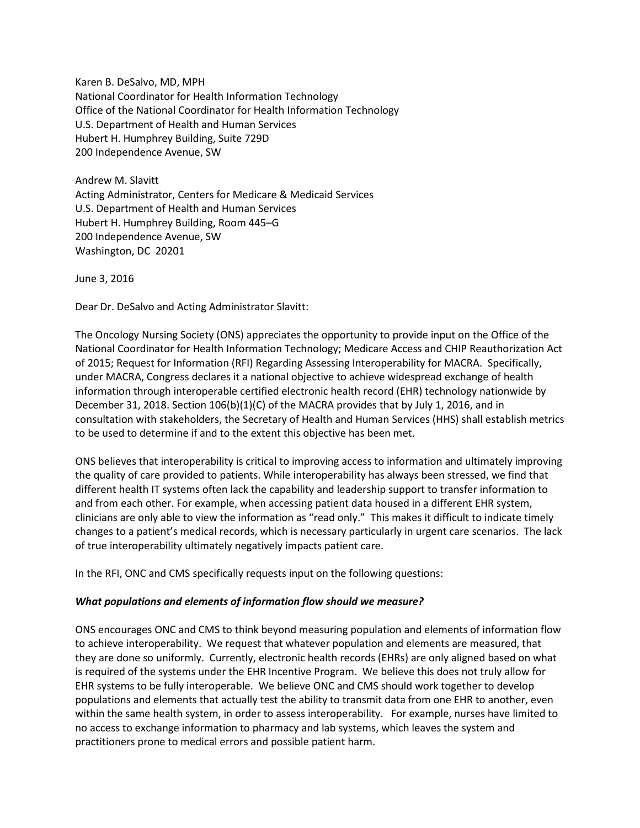Karen B. DeSalvo, MD, MPH National Coordinator for Health Information Technology Office of the National Coordinator for Health Information Technology U.S. Department of Health and Human Services Hubert H. Humphrey Building, Suite 729D 200 Independence Avenue, SW

Andrew M. Slavitt Acting Administrator, Centers for Medicare & Medicaid Services U.S. Department of Health and Human Services Hubert H. Humphrey Building, Room 445–G 200 Independence Avenue, SW Washington, DC 20201

June 3, 2016

Dear Dr. DeSalvo and Acting Administrator Slavitt:

The Oncology Nursing Society (ONS) appreciates the opportunity to provide input on the Office of the National Coordinator for Health Information Technology; Medicare Access and CHIP Reauthorization Act of 2015; Request for Information (RFI) Regarding Assessing Interoperability for MACRA. Specifically, under MACRA, Congress declares it a national objective to achieve widespread exchange of health information through interoperable certified electronic health record (EHR) technology nationwide by December 31, 2018. Section 106(b)(1)(C) of the MACRA provides that by July 1, 2016, and in consultation with stakeholders, the Secretary of Health and Human Services (HHS) shall establish metrics to be used to determine if and to the extent this objective has been met.

ONS believes that interoperability is critical to improving access to information and ultimately improving the quality of care provided to patients. While interoperability has always been stressed, we find that different health IT systems often lack the capability and leadership support to transfer information to and from each other. For example, when accessing patient data housed in a different EHR system, clinicians are only able to view the information as "read only." This makes it difficult to indicate timely changes to a patient's medical records, which is necessary particularly in urgent care scenarios. The lack of true interoperability ultimately negatively impacts patient care.

In the RFI, ONC and CMS specifically requests input on the following questions:

## *What populations and elements of information flow should we measure?*

ONS encourages ONC and CMS to think beyond measuring population and elements of information flow to achieve interoperability. We request that whatever population and elements are measured, that they are done so uniformly. Currently, electronic health records (EHRs) are only aligned based on what is required of the systems under the EHR Incentive Program. We believe this does not truly allow for EHR systems to be fully interoperable. We believe ONC and CMS should work together to develop populations and elements that actually test the ability to transmit data from one EHR to another, even within the same health system, in order to assess interoperability. For example, nurses have limited to no access to exchange information to pharmacy and lab systems, which leaves the system and practitioners prone to medical errors and possible patient harm.